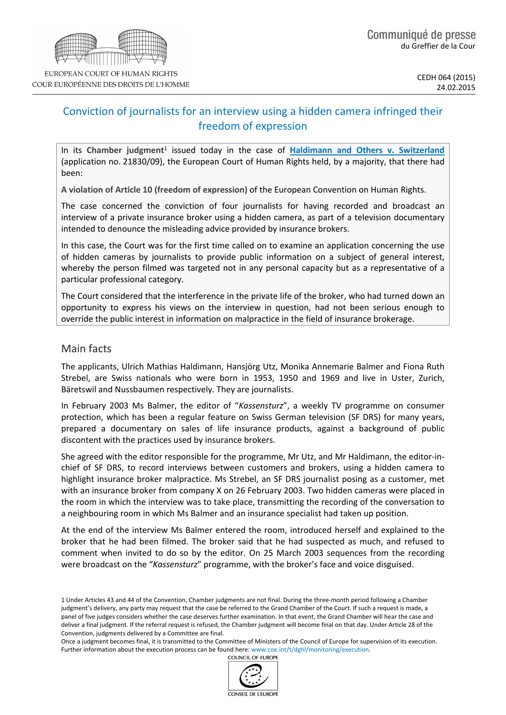# Conviction of journalists for an interview using a hidden camera infringed their freedom of expression

In its Chamber judgment<sup>1</sup> issued today in the case of [Haldimann](http://hudoc.echr.coe.int/sites/fra/pages/search.aspx?i=001-152424) [and](http://hudoc.echr.coe.int/sites/fra/pages/search.aspx?i=001-152424) [Others](http://hudoc.echr.coe.int/sites/fra/pages/search.aspx?i=001-152424) [v.](http://hudoc.echr.coe.int/sites/fra/pages/search.aspx?i=001-152424) [Switzerland](http://hudoc.echr.coe.int/sites/fra/pages/search.aspx?i=001-152424) (application no. 21830/09), the European Court of Human Rights held, by a majority, that there had been:

**A violation of Article 10 (freedom of expression)** of the European Convention on Human Rights.

The case concerned the conviction of four journalists for having recorded and broadcast an interview of a private insurance broker using a hidden camera, as part of a television documentary intended to denounce the misleading advice provided by insurance brokers.

In this case, the Court was for the first time called on to examine an application concerning the use of hidden cameras by journalists to provide public information on a subject of general interest, whereby the person filmed was targeted not in any personal capacity but as a representative of a particular professional category.

The Court considered that the interference in the private life of the broker, who had turned down an opportunity to express his views on the interview in question, had not been serious enough to override the public interest in information on malpractice in the field of insurance brokerage.

## Main facts

The applicants, Ulrich Mathias Haldimann, Hansjörg Utz, Monika Annemarie Balmer and Fiona Ruth Strebel, are Swiss nationals who were born in 1953, 1950 and 1969 and live in Uster, Zurich, Bäretswil and Nussbaumen respectively. They are journalists.

In February 2003 Ms Balmer, the editor of "*Kassensturz*", a weekly TV programme on consumer protection, which has been a regular feature on Swiss German television (SF DRS) for many years, prepared a documentary on sales of life insurance products, against a background of public discontent with the practices used by insurance brokers.

She agreed with the editor responsible for the programme, Mr Utz, and Mr Haldimann, the editor-inchief of SF DRS, to record interviews between customers and brokers, using a hidden camera to highlight insurance broker malpractice. Ms Strebel, an SF DRS journalist posing as a customer, met with an insurance broker from company X on 26 February 2003. Two hidden cameras were placed in the room in which the interview was to take place, transmitting the recording of the conversation to a neighbouring room in which Ms Balmer and an insurance specialist had taken up position.

At the end of the interview Ms Balmer entered the room, introduced herself and explained to the broker that he had been filmed. The broker said that he had suspected as much, and refused to comment when invited to do so by the editor. On 25 March 2003 sequences from the recording were broadcast on the "*Kassensturz*" programme, with the broker's face and voice disguised.

1 Under Articles 43 and 44 of the Convention, Chamber judgments are not final. During the three-month period following a Chamber judgment's delivery, any party may request that the case be referred to the Grand Chamber of the Court. If such a request is made, a panel of five judges considers whether the case deserves further examination. In that event, the Grand Chamber will hear the case and deliver a final judgment. If the referral request is refused, the Chamber judgment will become final on that day. Under Article 28 of the Convention, judgments delivered by a Committee are final.

Once a judgment becomes final, it is transmitted to the Committee of Ministers of the Council of Europe for supervision of its execution. Further information about the execution process can be found here: www.coe.int/t/dghl/monitoring/execution.

COUNCIL OF EUROPE

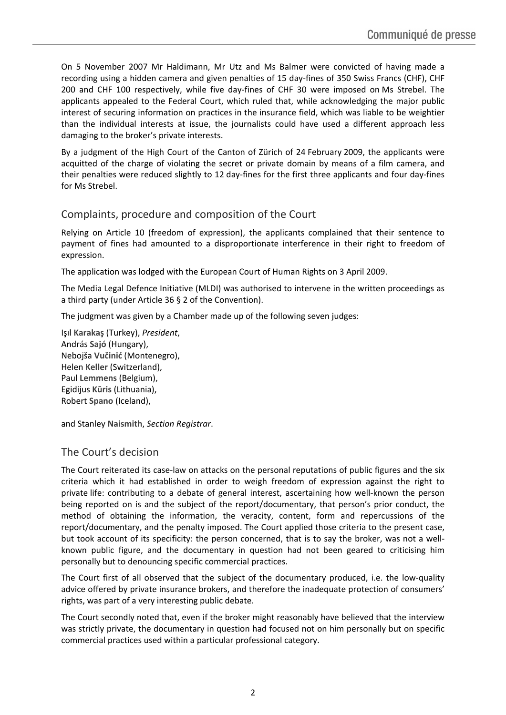On 5 November 2007 Mr Haldimann, Mr Utz and Ms Balmer were convicted of having made a recording using a hidden camera and given penalties of 15 day-fines of 350 Swiss Francs (CHF), CHF 200 and CHF 100 respectively, while five day-fines of CHF 30 were imposed on Ms Strebel. The applicants appealed to the Federal Court, which ruled that, while acknowledging the major public interest of securing information on practices in the insurance field, which was liable to be weightier than the individual interests at issue, the journalists could have used a different approach less damaging to the broker's private interests.

By a judgment of the High Court of the Canton of Zürich of 24 February 2009, the applicants were acquitted of the charge of violating the secret or private domain by means of a film camera, and their penalties were reduced slightly to 12 day-fines for the first three applicants and four day-fines for Ms Strebel.

### Complaints, procedure and composition of the Court

Relying on Article 10 (freedom of expression), the applicants complained that their sentence to payment of fines had amounted to a disproportionate interference in their right to freedom of expression.

The application was lodged with the European Court of Human Rights on 3 April 2009.

The Media Legal Defence Initiative (MLDI) was authorised to intervene in the written proceedings as a third party (under Article 36 § 2 of the Convention).

The judgment was given by a Chamber made up of the following seven judges:

Işıl **Karakaş** (Turkey), *President*, András **Sajó** (Hungary), Nebojša **Vučinić** (Montenegro), Helen **Keller** (Switzerland), Paul **Lemmens** (Belgium), Egidijus **Kūris** (Lithuania), Robert **Spano** (Iceland),

and Stanley **Naismith**, *Section Registrar*.

## The Court's decision

The Court reiterated its case-law on attacks on the personal reputations of public figures and the six criteria which it had established in order to weigh freedom of expression against the right to private life: contributing to a debate of general interest, ascertaining how well-known the person being reported on is and the subject of the report/documentary, that person's prior conduct, the method of obtaining the information, the veracity, content, form and repercussions of the report/documentary, and the penalty imposed. The Court applied those criteria to the present case, but took account of its specificity: the person concerned, that is to say the broker, was not a wellknown public figure, and the documentary in question had not been geared to criticising him personally but to denouncing specific commercial practices.

The Court first of all observed that the subject of the documentary produced, i.e. the low-quality advice offered by private insurance brokers, and therefore the inadequate protection of consumers' rights, was part of a very interesting public debate.

The Court secondly noted that, even if the broker might reasonably have believed that the interview was strictly private, the documentary in question had focused not on him personally but on specific commercial practices used within a particular professional category.